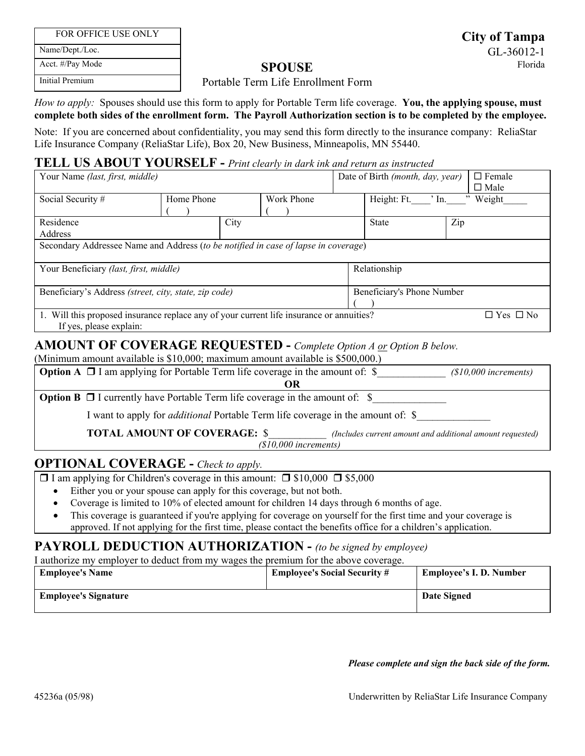| FOR OFFICE USE ONLY |  |
|---------------------|--|
|---------------------|--|

Name/Dept./Loc. Acct. #/Pay Mode

Initial Premium

#### Portable Term Life Enrollment Form

 *How to apply:* Spouses should use this form to apply for Portable Term life coverage. **You, the applying spouse, must complete both sides of the enrollment form. The Payroll Authorization section is to be completed by the employee.**

Note: If you are concerned about confidentiality, you may send this form directly to the insurance company: ReliaStar Life Insurance Company (ReliaStar Life), Box 20, New Business, Minneapolis, MN 55440.

### **TELL US ABOUT YOURSELF -** *Print clearly in dark ink and return as instructed*

| Your Name (last, first, middle)                                                                                                             |            |            | $\Box$ Female<br>Date of Birth (month, day, year)<br>$\Box$ Male |                            |          |
|---------------------------------------------------------------------------------------------------------------------------------------------|------------|------------|------------------------------------------------------------------|----------------------------|----------|
| Social Security #                                                                                                                           | Home Phone | Work Phone |                                                                  | Height: Ft.<br>$\cdot$ In. | " Weight |
| Residence<br>Address                                                                                                                        | City       |            |                                                                  | <b>State</b>               | Zip      |
| Secondary Addressee Name and Address (to be notified in case of lapse in coverage)                                                          |            |            |                                                                  |                            |          |
| Your Beneficiary (last, first, middle)                                                                                                      |            |            | Relationship                                                     |                            |          |
| Beneficiary's Address (street, city, state, zip code)                                                                                       |            |            | Beneficiary's Phone Number                                       |                            |          |
| 1. Will this proposed insurance replace any of your current life insurance or annuities?<br>$\Box$ Yes $\Box$ No<br>If yes, please explain: |            |            |                                                                  |                            |          |

# **AMOUNT OF COVERAGE REQUESTED -** *Complete Option A or Option B below.*

(Minimum amount available is \$10,000; maximum amount available is \$500,000.)

| <b>Option A</b> $\Box$ I am applying for Portable Term life coverage in the amount of: $\$\$                               | $($10,000$ increments) |  |  |
|----------------------------------------------------------------------------------------------------------------------------|------------------------|--|--|
|                                                                                                                            |                        |  |  |
| <b>Option B</b> $\Box$ I currently have Portable Term life coverage in the amount of: $\$                                  |                        |  |  |
| I want to apply for <i>additional</i> Portable Term life coverage in the amount of: \$                                     |                        |  |  |
| <b>TOTAL AMOUNT OF COVERAGE: \$</b><br>(Includes current amount and additional amount requested)<br>$(S10,000$ increments) |                        |  |  |
|                                                                                                                            |                        |  |  |

# **OPTIONAL COVERAGE -** *Check to apply.*

 $\Box$  I am applying for Children's coverage in this amount:  $\Box$  \$10,000  $\Box$  \$5,000

- Either you or your spouse can apply for this coverage, but not both.
- Coverage is limited to 10% of elected amount for children 14 days through 6 months of age.
- This coverage is guaranteed if you're applying for coverage on yourself for the first time and your coverage is approved. If not applying for the first time, please contact the benefits office for a children's application.

# **PAYROLL DEDUCTION AUTHORIZATION -** *(to be signed by employee)*

I authorize my employer to deduct from my wages the premium for the above coverage.

| <b>Employee's Name</b>      | <b>Employee's Social Security #</b> | <b>Employee's I. D. Number</b> |
|-----------------------------|-------------------------------------|--------------------------------|
| <b>Employee's Signature</b> |                                     | Date Signed                    |
|                             |                                     |                                |

#### *Please complete and sign the back side of the form.*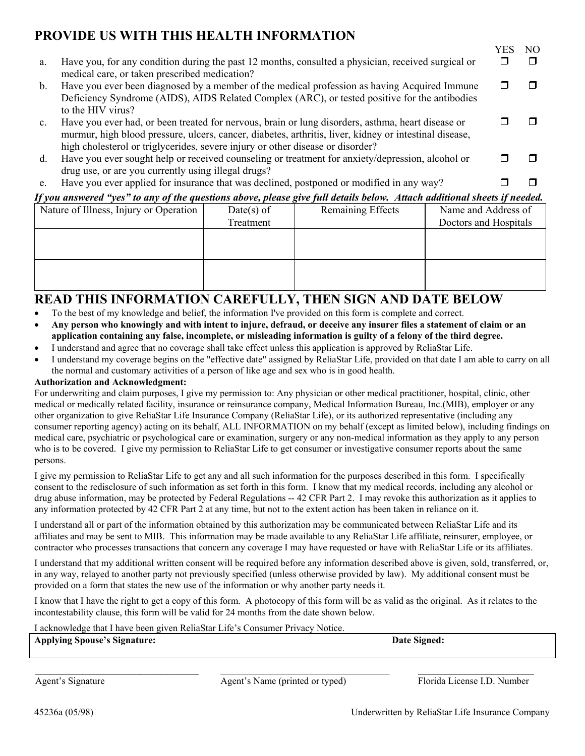# **PROVIDE US WITH THIS HEALTH INFORMATION**

| a.             | Have you, for any condition during the past 12 months, consulted a physician, received surgical or<br>medical care, or taken prescribed medication?                                                                                                                                           |  |
|----------------|-----------------------------------------------------------------------------------------------------------------------------------------------------------------------------------------------------------------------------------------------------------------------------------------------|--|
| $\mathbf{b}$ . | Have you ever been diagnosed by a member of the medical profession as having Acquired Immune<br>Deficiency Syndrome (AIDS), AIDS Related Complex (ARC), or tested positive for the antibodies<br>to the HIV virus?                                                                            |  |
| $c_{\cdot}$    | Have you ever had, or been treated for nervous, brain or lung disorders, asthma, heart disease or<br>murmur, high blood pressure, ulcers, cancer, diabetes, arthritis, liver, kidney or intestinal disease,<br>high cholesterol or triglycerides, severe injury or other disease or disorder? |  |
| d.             | Have you ever sought help or received counseling or treatment for anxiety/depression, alcohol or<br>drug use, or are you currently using illegal drugs?                                                                                                                                       |  |
| e.             | Have you ever applied for insurance that was declined, postponed or modified in any way?                                                                                                                                                                                                      |  |

### *If you answered "yes" to any of the questions above, please give full details below. Attach additional sheets if needed.*

| Nature of Illness, Injury or Operation | $Date(s)$ of | Remaining Effects | Name and Address of   |
|----------------------------------------|--------------|-------------------|-----------------------|
|                                        | Treatment    |                   | Doctors and Hospitals |
|                                        |              |                   |                       |
|                                        |              |                   |                       |
|                                        |              |                   |                       |
|                                        |              |                   |                       |
|                                        |              |                   |                       |
|                                        |              |                   |                       |

# **READ THIS INFORMATION CAREFULLY, THEN SIGN AND DATE BELOW**

- To the best of my knowledge and belief, the information I've provided on this form is complete and correct.
- **Any person who knowingly and with intent to injure, defraud, or deceive any insurer files a statement of claim or an application containing any false, incomplete, or misleading information is guilty of a felony of the third degree.**
- I understand and agree that no coverage shall take effect unless this application is approved by ReliaStar Life.
- I understand my coverage begins on the "effective date" assigned by ReliaStar Life, provided on that date I am able to carry on all the normal and customary activities of a person of like age and sex who is in good health.

#### **Authorization and Acknowledgment:**

 medical care, psychiatric or psychological care or examination, surgery or any non-medical information as they apply to any person For underwriting and claim purposes, I give my permission to: Any physician or other medical practitioner, hospital, clinic, other medical or medically related facility, insurance or reinsurance company, Medical Information Bureau, Inc.(MIB), employer or any other organization to give ReliaStar Life Insurance Company (ReliaStar Life), or its authorized representative (including any consumer reporting agency) acting on its behalf, ALL INFORMATION on my behalf (except as limited below), including findings on who is to be covered. I give my permission to ReliaStar Life to get consumer or investigative consumer reports about the same persons.

 drug abuse information, may be protected by Federal Regulations -- 42 CFR Part 2. I may revoke this authorization as it applies to any information protected by 42 CFR Part 2 at any time, but not to the extent action has been taken in reliance on it. I give my permission to ReliaStar Life to get any and all such information for the purposes described in this form. I specifically consent to the redisclosure of such information as set forth in this form. I know that my medical records, including any alcohol or

 I understand all or part of the information obtained by this authorization may be communicated between ReliaStar Life and its contractor who processes transactions that concern any coverage I may have requested or have with ReliaStar Life or its affiliates. affiliates and may be sent to MIB. This information may be made available to any ReliaStar Life affiliate, reinsurer, employee, or

 provided on a form that states the new use of the information or why another party needs it. I understand that my additional written consent will be required before any information described above is given, sold, transferred, or, in any way, relayed to another party not previously specified (unless otherwise provided by law). My additional consent must be

 incontestability clause, this form will be valid for 24 months from the date shown below. I know that I have the right to get a copy of this form. A photocopy of this form will be as valid as the original. As it relates to the

#### I acknowledge that I have been given ReliaStar Life's Consumer Privacy Notice.

**Applying Spouse's Signature: Date Signed:** 

Agent's Signature Agent's Name (printed or typed) Florida License I.D. Number